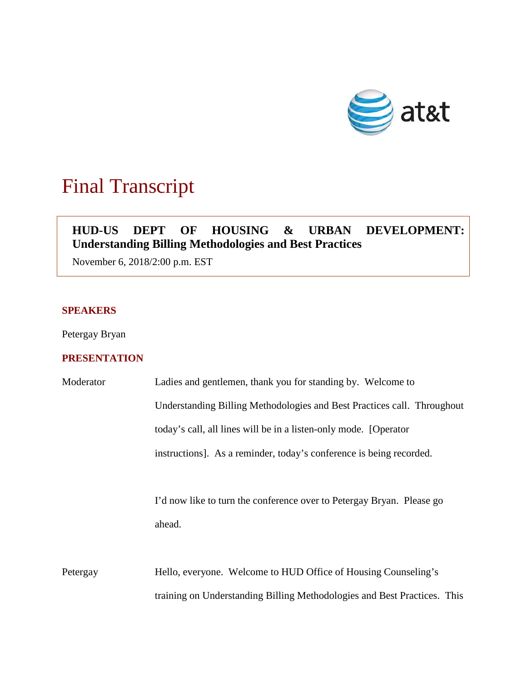

# Final Transcript

# **HUD-US DEPT OF HOUSING & URBAN DEVELOPMENT: Understanding Billing Methodologies and Best Practices**

November 6, 2018/2:00 p.m. EST

### **SPEAKERS**

Petergay Bryan

## **PRESENTATION**

| Moderator | Ladies and gentlemen, thank you for standing by. Welcome to              |
|-----------|--------------------------------------------------------------------------|
|           | Understanding Billing Methodologies and Best Practices call. Throughout  |
|           | today's call, all lines will be in a listen-only mode. [Operator         |
|           | instructions]. As a reminder, today's conference is being recorded.      |
|           |                                                                          |
|           | I'd now like to turn the conference over to Petergay Bryan. Please go    |
|           | ahead.                                                                   |
|           |                                                                          |
| Petergay  | Hello, everyone. Welcome to HUD Office of Housing Counseling's           |
|           | training on Understanding Billing Methodologies and Best Practices. This |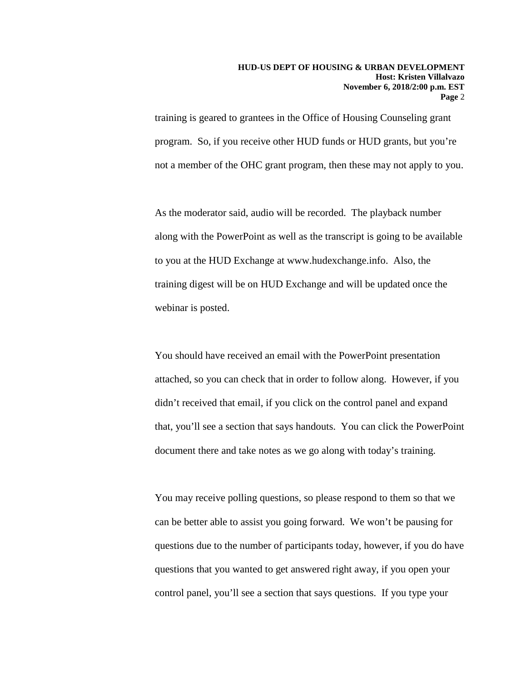training is geared to grantees in the Office of Housing Counseling grant program. So, if you receive other HUD funds or HUD grants, but you're not a member of the OHC grant program, then these may not apply to you.

As the moderator said, audio will be recorded. The playback number along with the PowerPoint as well as the transcript is going to be available to you at the HUD Exchange at www.hudexchange.info. Also, the training digest will be on HUD Exchange and will be updated once the webinar is posted.

You should have received an email with the PowerPoint presentation attached, so you can check that in order to follow along. However, if you didn't received that email, if you click on the control panel and expand that, you'll see a section that says handouts. You can click the PowerPoint document there and take notes as we go along with today's training.

You may receive polling questions, so please respond to them so that we can be better able to assist you going forward. We won't be pausing for questions due to the number of participants today, however, if you do have questions that you wanted to get answered right away, if you open your control panel, you'll see a section that says questions. If you type your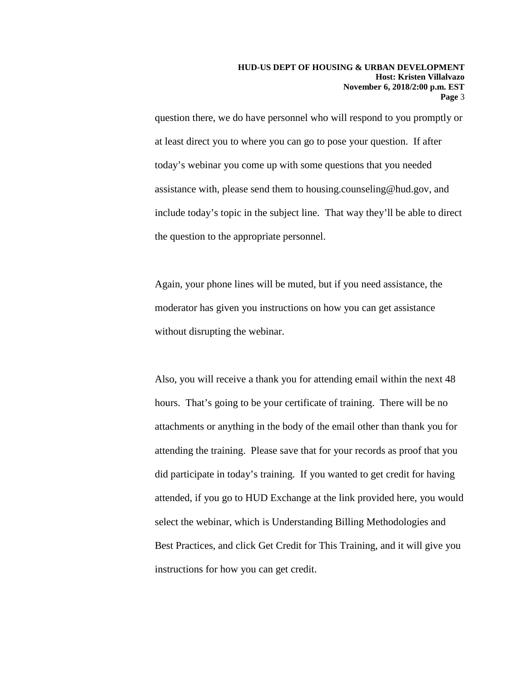question there, we do have personnel who will respond to you promptly or at least direct you to where you can go to pose your question. If after today's webinar you come up with some questions that you needed assistance with, please send them to housing.counseling@hud.gov, and include today's topic in the subject line. That way they'll be able to direct the question to the appropriate personnel.

Again, your phone lines will be muted, but if you need assistance, the moderator has given you instructions on how you can get assistance without disrupting the webinar.

Also, you will receive a thank you for attending email within the next 48 hours. That's going to be your certificate of training. There will be no attachments or anything in the body of the email other than thank you for attending the training. Please save that for your records as proof that you did participate in today's training. If you wanted to get credit for having attended, if you go to HUD Exchange at the link provided here, you would select the webinar, which is Understanding Billing Methodologies and Best Practices, and click Get Credit for This Training, and it will give you instructions for how you can get credit.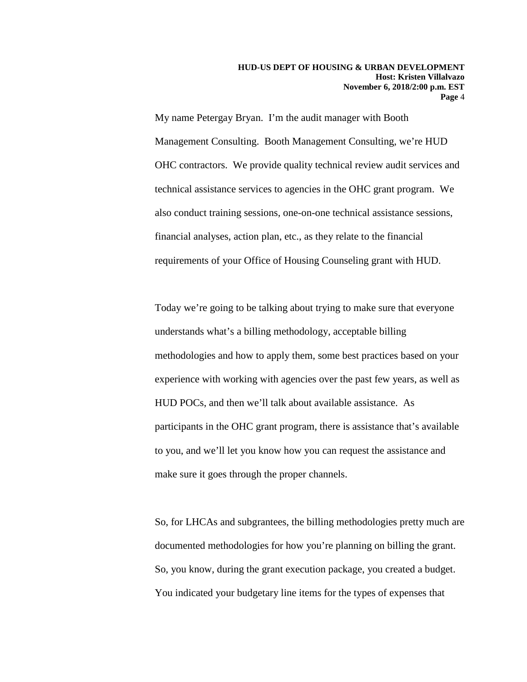My name Petergay Bryan. I'm the audit manager with Booth Management Consulting. Booth Management Consulting, we're HUD OHC contractors. We provide quality technical review audit services and technical assistance services to agencies in the OHC grant program. We also conduct training sessions, one-on-one technical assistance sessions, financial analyses, action plan, etc., as they relate to the financial requirements of your Office of Housing Counseling grant with HUD.

Today we're going to be talking about trying to make sure that everyone understands what's a billing methodology, acceptable billing methodologies and how to apply them, some best practices based on your experience with working with agencies over the past few years, as well as HUD POCs, and then we'll talk about available assistance. As participants in the OHC grant program, there is assistance that's available to you, and we'll let you know how you can request the assistance and make sure it goes through the proper channels.

So, for LHCAs and subgrantees, the billing methodologies pretty much are documented methodologies for how you're planning on billing the grant. So, you know, during the grant execution package, you created a budget. You indicated your budgetary line items for the types of expenses that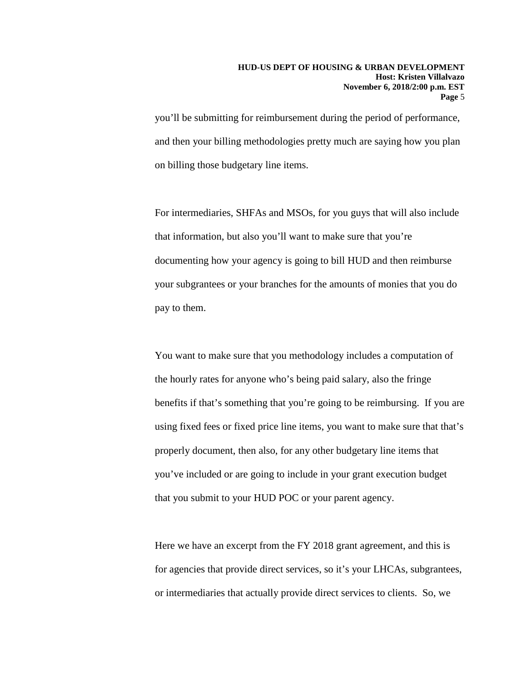you'll be submitting for reimbursement during the period of performance, and then your billing methodologies pretty much are saying how you plan on billing those budgetary line items.

For intermediaries, SHFAs and MSOs, for you guys that will also include that information, but also you'll want to make sure that you're documenting how your agency is going to bill HUD and then reimburse your subgrantees or your branches for the amounts of monies that you do pay to them.

You want to make sure that you methodology includes a computation of the hourly rates for anyone who's being paid salary, also the fringe benefits if that's something that you're going to be reimbursing. If you are using fixed fees or fixed price line items, you want to make sure that that's properly document, then also, for any other budgetary line items that you've included or are going to include in your grant execution budget that you submit to your HUD POC or your parent agency.

Here we have an excerpt from the FY 2018 grant agreement, and this is for agencies that provide direct services, so it's your LHCAs, subgrantees, or intermediaries that actually provide direct services to clients. So, we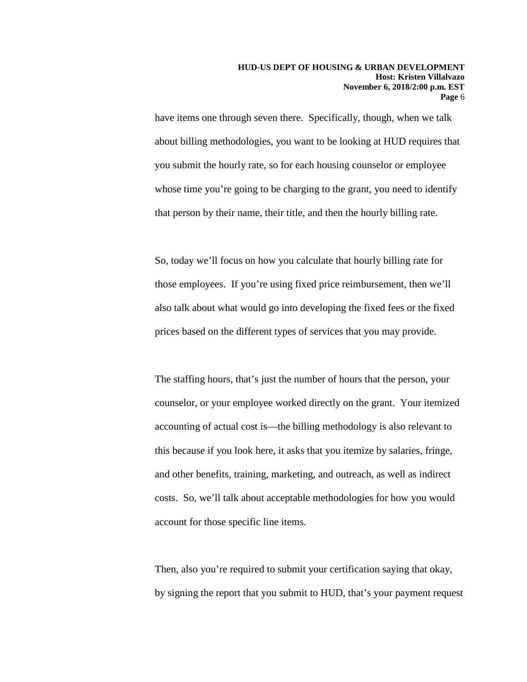have items one through seven there. Specifically, though, when we talk about billing methodologies, you want to be looking at HUD requires that you submit the hourly rate, so for each housing counselor or employee whose time you're going to be charging to the grant, you need to identify that person by their name, their title, and then the hourly billing rate.

So, today we'll focus on how you calculate that hourly billing rate for those employees. If you're using fixed price reimbursement, then we'll also talk about what would go into developing the fixed fees or the fixed prices based on the different types of services that you may provide.

The staffing hours, that's just the number of hours that the person, your counselor, or your employee worked directly on the grant. Your itemized accounting of actual cost is—the billing methodology is also relevant to this because if you look here, it asks that you itemize by salaries, fringe, and other benefits, training, marketing, and outreach, as well as indirect costs. So, we'll talk about acceptable methodologies for how you would account for those specific line items.

Then, also you're required to submit your certification saying that okay, by signing the report that you submit to HUD, that's your payment request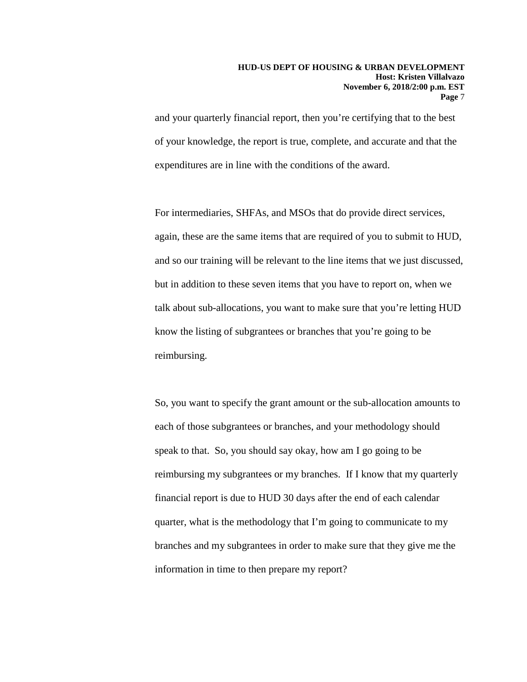and your quarterly financial report, then you're certifying that to the best of your knowledge, the report is true, complete, and accurate and that the expenditures are in line with the conditions of the award.

For intermediaries, SHFAs, and MSOs that do provide direct services, again, these are the same items that are required of you to submit to HUD, and so our training will be relevant to the line items that we just discussed, but in addition to these seven items that you have to report on, when we talk about sub-allocations, you want to make sure that you're letting HUD know the listing of subgrantees or branches that you're going to be reimbursing.

So, you want to specify the grant amount or the sub-allocation amounts to each of those subgrantees or branches, and your methodology should speak to that. So, you should say okay, how am I go going to be reimbursing my subgrantees or my branches. If I know that my quarterly financial report is due to HUD 30 days after the end of each calendar quarter, what is the methodology that I'm going to communicate to my branches and my subgrantees in order to make sure that they give me the information in time to then prepare my report?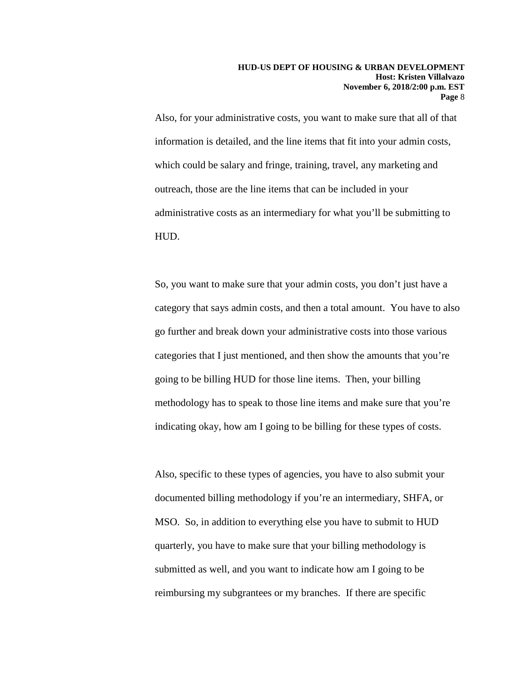Also, for your administrative costs, you want to make sure that all of that information is detailed, and the line items that fit into your admin costs, which could be salary and fringe, training, travel, any marketing and outreach, those are the line items that can be included in your administrative costs as an intermediary for what you'll be submitting to HUD.

So, you want to make sure that your admin costs, you don't just have a category that says admin costs, and then a total amount. You have to also go further and break down your administrative costs into those various categories that I just mentioned, and then show the amounts that you're going to be billing HUD for those line items. Then, your billing methodology has to speak to those line items and make sure that you're indicating okay, how am I going to be billing for these types of costs.

Also, specific to these types of agencies, you have to also submit your documented billing methodology if you're an intermediary, SHFA, or MSO. So, in addition to everything else you have to submit to HUD quarterly, you have to make sure that your billing methodology is submitted as well, and you want to indicate how am I going to be reimbursing my subgrantees or my branches. If there are specific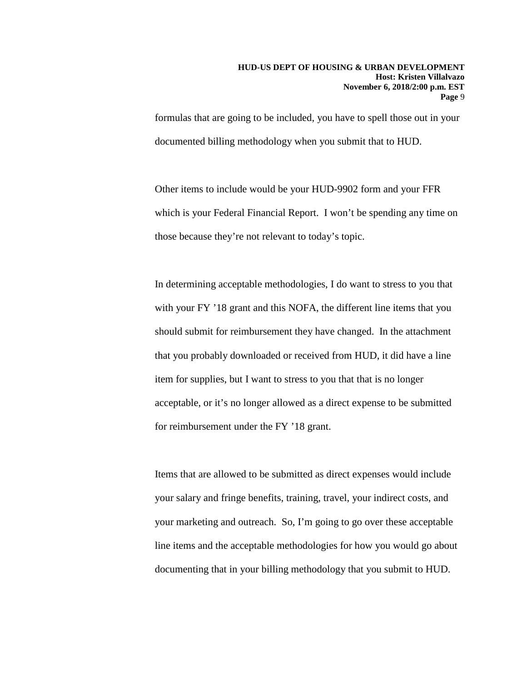formulas that are going to be included, you have to spell those out in your documented billing methodology when you submit that to HUD.

Other items to include would be your HUD-9902 form and your FFR which is your Federal Financial Report. I won't be spending any time on those because they're not relevant to today's topic.

In determining acceptable methodologies, I do want to stress to you that with your FY '18 grant and this NOFA, the different line items that you should submit for reimbursement they have changed. In the attachment that you probably downloaded or received from HUD, it did have a line item for supplies, but I want to stress to you that that is no longer acceptable, or it's no longer allowed as a direct expense to be submitted for reimbursement under the FY '18 grant.

Items that are allowed to be submitted as direct expenses would include your salary and fringe benefits, training, travel, your indirect costs, and your marketing and outreach. So, I'm going to go over these acceptable line items and the acceptable methodologies for how you would go about documenting that in your billing methodology that you submit to HUD.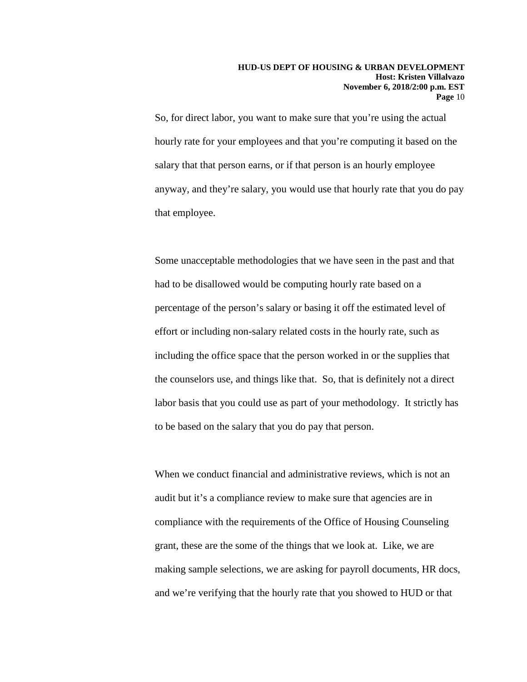#### **HUD-US DEPT OF HOUSING & URBAN DEVELOPMENT Host: Kristen Villalvazo November 6, 2018/2:00 p.m. EST Page** 10

So, for direct labor, you want to make sure that you're using the actual hourly rate for your employees and that you're computing it based on the salary that that person earns, or if that person is an hourly employee anyway, and they're salary, you would use that hourly rate that you do pay that employee.

Some unacceptable methodologies that we have seen in the past and that had to be disallowed would be computing hourly rate based on a percentage of the person's salary or basing it off the estimated level of effort or including non-salary related costs in the hourly rate, such as including the office space that the person worked in or the supplies that the counselors use, and things like that. So, that is definitely not a direct labor basis that you could use as part of your methodology. It strictly has to be based on the salary that you do pay that person.

When we conduct financial and administrative reviews, which is not an audit but it's a compliance review to make sure that agencies are in compliance with the requirements of the Office of Housing Counseling grant, these are the some of the things that we look at. Like, we are making sample selections, we are asking for payroll documents, HR docs, and we're verifying that the hourly rate that you showed to HUD or that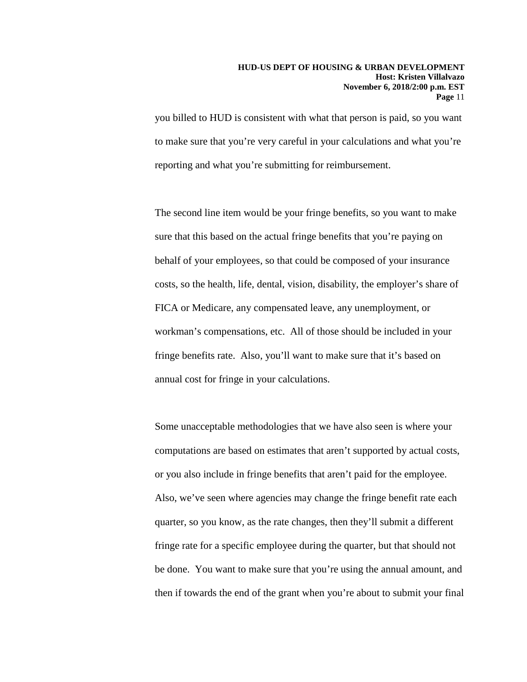you billed to HUD is consistent with what that person is paid, so you want to make sure that you're very careful in your calculations and what you're reporting and what you're submitting for reimbursement.

The second line item would be your fringe benefits, so you want to make sure that this based on the actual fringe benefits that you're paying on behalf of your employees, so that could be composed of your insurance costs, so the health, life, dental, vision, disability, the employer's share of FICA or Medicare, any compensated leave, any unemployment, or workman's compensations, etc. All of those should be included in your fringe benefits rate. Also, you'll want to make sure that it's based on annual cost for fringe in your calculations.

Some unacceptable methodologies that we have also seen is where your computations are based on estimates that aren't supported by actual costs, or you also include in fringe benefits that aren't paid for the employee. Also, we've seen where agencies may change the fringe benefit rate each quarter, so you know, as the rate changes, then they'll submit a different fringe rate for a specific employee during the quarter, but that should not be done. You want to make sure that you're using the annual amount, and then if towards the end of the grant when you're about to submit your final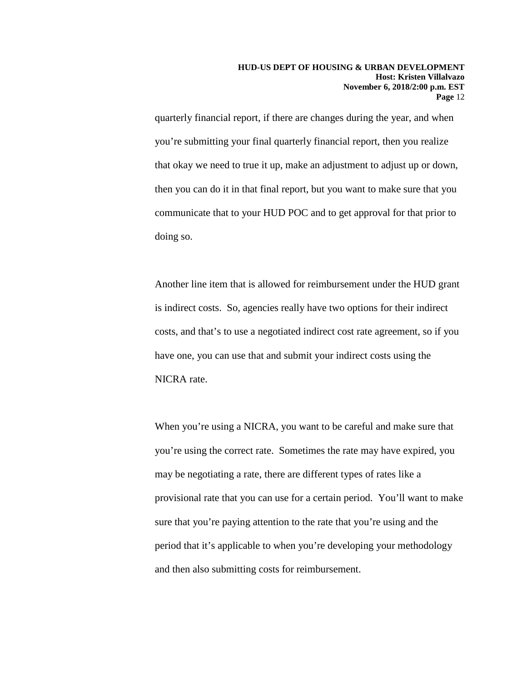quarterly financial report, if there are changes during the year, and when you're submitting your final quarterly financial report, then you realize that okay we need to true it up, make an adjustment to adjust up or down, then you can do it in that final report, but you want to make sure that you communicate that to your HUD POC and to get approval for that prior to doing so.

Another line item that is allowed for reimbursement under the HUD grant is indirect costs. So, agencies really have two options for their indirect costs, and that's to use a negotiated indirect cost rate agreement, so if you have one, you can use that and submit your indirect costs using the NICRA rate.

When you're using a NICRA, you want to be careful and make sure that you're using the correct rate. Sometimes the rate may have expired, you may be negotiating a rate, there are different types of rates like a provisional rate that you can use for a certain period. You'll want to make sure that you're paying attention to the rate that you're using and the period that it's applicable to when you're developing your methodology and then also submitting costs for reimbursement.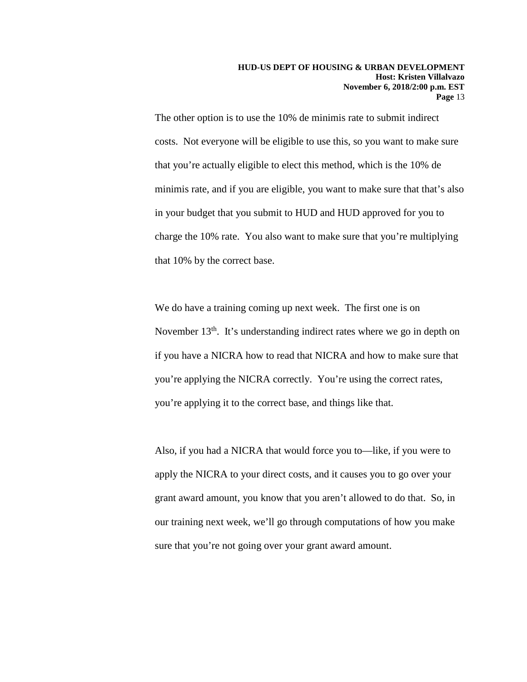The other option is to use the 10% de minimis rate to submit indirect costs. Not everyone will be eligible to use this, so you want to make sure that you're actually eligible to elect this method, which is the 10% de minimis rate, and if you are eligible, you want to make sure that that's also in your budget that you submit to HUD and HUD approved for you to charge the 10% rate. You also want to make sure that you're multiplying that 10% by the correct base.

We do have a training coming up next week. The first one is on November  $13<sup>th</sup>$ . It's understanding indirect rates where we go in depth on if you have a NICRA how to read that NICRA and how to make sure that you're applying the NICRA correctly. You're using the correct rates, you're applying it to the correct base, and things like that.

Also, if you had a NICRA that would force you to—like, if you were to apply the NICRA to your direct costs, and it causes you to go over your grant award amount, you know that you aren't allowed to do that. So, in our training next week, we'll go through computations of how you make sure that you're not going over your grant award amount.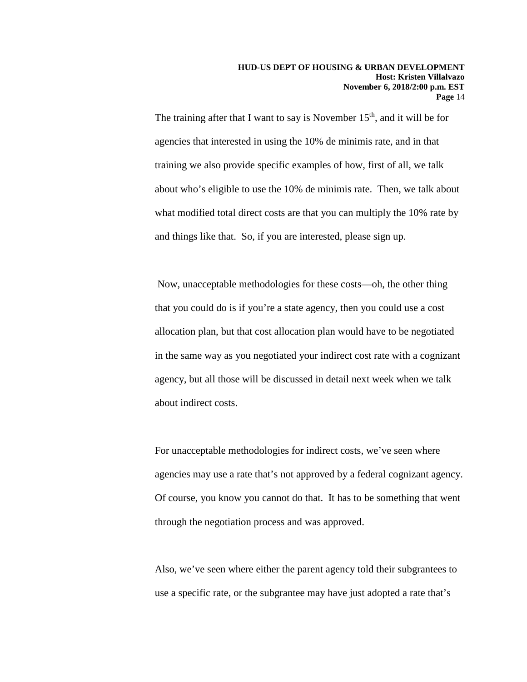The training after that I want to say is November  $15<sup>th</sup>$ , and it will be for agencies that interested in using the 10% de minimis rate, and in that training we also provide specific examples of how, first of all, we talk about who's eligible to use the 10% de minimis rate. Then, we talk about what modified total direct costs are that you can multiply the 10% rate by and things like that. So, if you are interested, please sign up.

Now, unacceptable methodologies for these costs—oh, the other thing that you could do is if you're a state agency, then you could use a cost allocation plan, but that cost allocation plan would have to be negotiated in the same way as you negotiated your indirect cost rate with a cognizant agency, but all those will be discussed in detail next week when we talk about indirect costs.

For unacceptable methodologies for indirect costs, we've seen where agencies may use a rate that's not approved by a federal cognizant agency. Of course, you know you cannot do that. It has to be something that went through the negotiation process and was approved.

Also, we've seen where either the parent agency told their subgrantees to use a specific rate, or the subgrantee may have just adopted a rate that's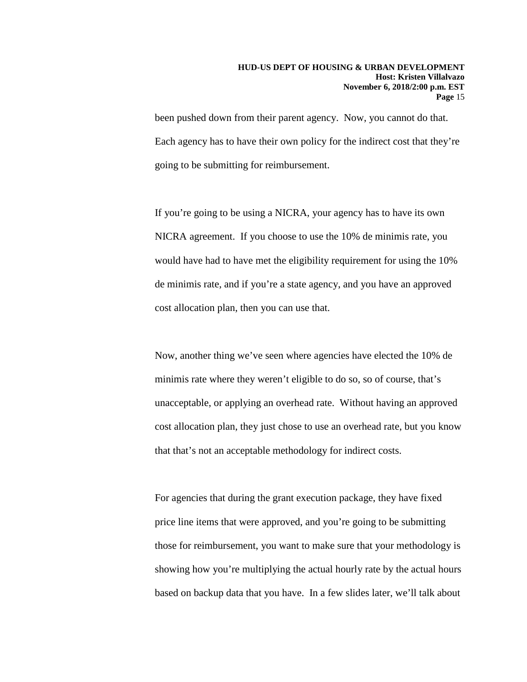been pushed down from their parent agency. Now, you cannot do that. Each agency has to have their own policy for the indirect cost that they're going to be submitting for reimbursement.

If you're going to be using a NICRA, your agency has to have its own NICRA agreement. If you choose to use the 10% de minimis rate, you would have had to have met the eligibility requirement for using the 10% de minimis rate, and if you're a state agency, and you have an approved cost allocation plan, then you can use that.

Now, another thing we've seen where agencies have elected the 10% de minimis rate where they weren't eligible to do so, so of course, that's unacceptable, or applying an overhead rate. Without having an approved cost allocation plan, they just chose to use an overhead rate, but you know that that's not an acceptable methodology for indirect costs.

For agencies that during the grant execution package, they have fixed price line items that were approved, and you're going to be submitting those for reimbursement, you want to make sure that your methodology is showing how you're multiplying the actual hourly rate by the actual hours based on backup data that you have. In a few slides later, we'll talk about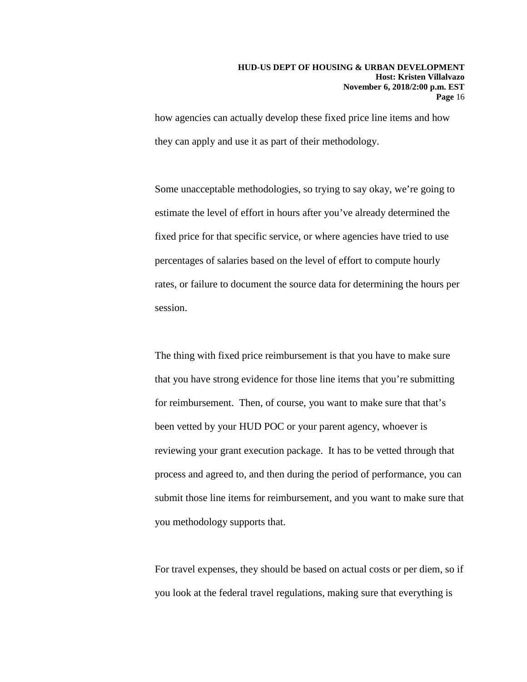how agencies can actually develop these fixed price line items and how they can apply and use it as part of their methodology.

Some unacceptable methodologies, so trying to say okay, we're going to estimate the level of effort in hours after you've already determined the fixed price for that specific service, or where agencies have tried to use percentages of salaries based on the level of effort to compute hourly rates, or failure to document the source data for determining the hours per session.

The thing with fixed price reimbursement is that you have to make sure that you have strong evidence for those line items that you're submitting for reimbursement. Then, of course, you want to make sure that that's been vetted by your HUD POC or your parent agency, whoever is reviewing your grant execution package. It has to be vetted through that process and agreed to, and then during the period of performance, you can submit those line items for reimbursement, and you want to make sure that you methodology supports that.

For travel expenses, they should be based on actual costs or per diem, so if you look at the federal travel regulations, making sure that everything is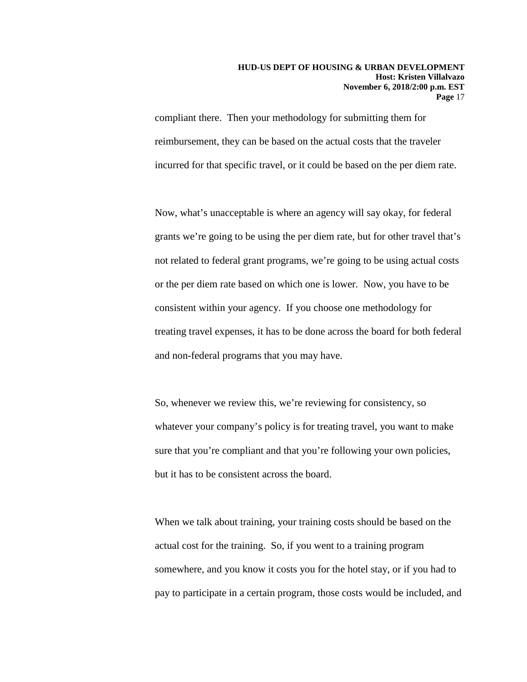#### **HUD-US DEPT OF HOUSING & URBAN DEVELOPMENT Host: Kristen Villalvazo November 6, 2018/2:00 p.m. EST Page** 17

compliant there. Then your methodology for submitting them for reimbursement, they can be based on the actual costs that the traveler incurred for that specific travel, or it could be based on the per diem rate.

Now, what's unacceptable is where an agency will say okay, for federal grants we're going to be using the per diem rate, but for other travel that's not related to federal grant programs, we're going to be using actual costs or the per diem rate based on which one is lower. Now, you have to be consistent within your agency. If you choose one methodology for treating travel expenses, it has to be done across the board for both federal and non-federal programs that you may have.

So, whenever we review this, we're reviewing for consistency, so whatever your company's policy is for treating travel, you want to make sure that you're compliant and that you're following your own policies, but it has to be consistent across the board.

When we talk about training, your training costs should be based on the actual cost for the training. So, if you went to a training program somewhere, and you know it costs you for the hotel stay, or if you had to pay to participate in a certain program, those costs would be included, and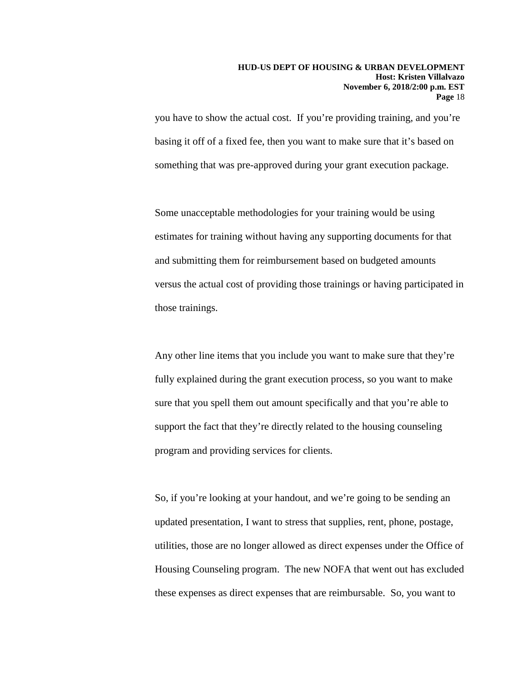you have to show the actual cost. If you're providing training, and you're basing it off of a fixed fee, then you want to make sure that it's based on something that was pre-approved during your grant execution package.

Some unacceptable methodologies for your training would be using estimates for training without having any supporting documents for that and submitting them for reimbursement based on budgeted amounts versus the actual cost of providing those trainings or having participated in those trainings.

Any other line items that you include you want to make sure that they're fully explained during the grant execution process, so you want to make sure that you spell them out amount specifically and that you're able to support the fact that they're directly related to the housing counseling program and providing services for clients.

So, if you're looking at your handout, and we're going to be sending an updated presentation, I want to stress that supplies, rent, phone, postage, utilities, those are no longer allowed as direct expenses under the Office of Housing Counseling program. The new NOFA that went out has excluded these expenses as direct expenses that are reimbursable. So, you want to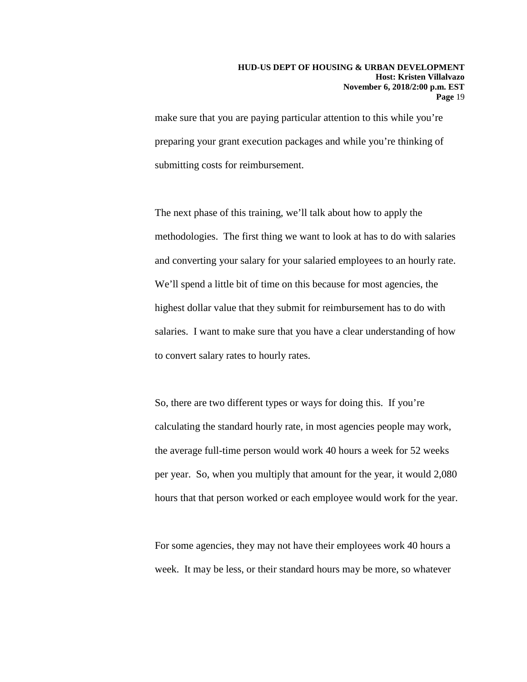make sure that you are paying particular attention to this while you're preparing your grant execution packages and while you're thinking of submitting costs for reimbursement.

The next phase of this training, we'll talk about how to apply the methodologies. The first thing we want to look at has to do with salaries and converting your salary for your salaried employees to an hourly rate. We'll spend a little bit of time on this because for most agencies, the highest dollar value that they submit for reimbursement has to do with salaries. I want to make sure that you have a clear understanding of how to convert salary rates to hourly rates.

So, there are two different types or ways for doing this. If you're calculating the standard hourly rate, in most agencies people may work, the average full-time person would work 40 hours a week for 52 weeks per year. So, when you multiply that amount for the year, it would 2,080 hours that that person worked or each employee would work for the year.

For some agencies, they may not have their employees work 40 hours a week. It may be less, or their standard hours may be more, so whatever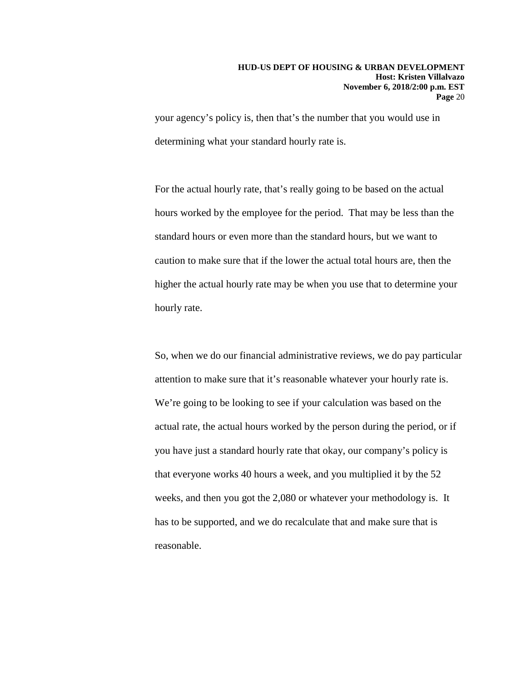your agency's policy is, then that's the number that you would use in determining what your standard hourly rate is.

For the actual hourly rate, that's really going to be based on the actual hours worked by the employee for the period. That may be less than the standard hours or even more than the standard hours, but we want to caution to make sure that if the lower the actual total hours are, then the higher the actual hourly rate may be when you use that to determine your hourly rate.

So, when we do our financial administrative reviews, we do pay particular attention to make sure that it's reasonable whatever your hourly rate is. We're going to be looking to see if your calculation was based on the actual rate, the actual hours worked by the person during the period, or if you have just a standard hourly rate that okay, our company's policy is that everyone works 40 hours a week, and you multiplied it by the 52 weeks, and then you got the 2,080 or whatever your methodology is. It has to be supported, and we do recalculate that and make sure that is reasonable.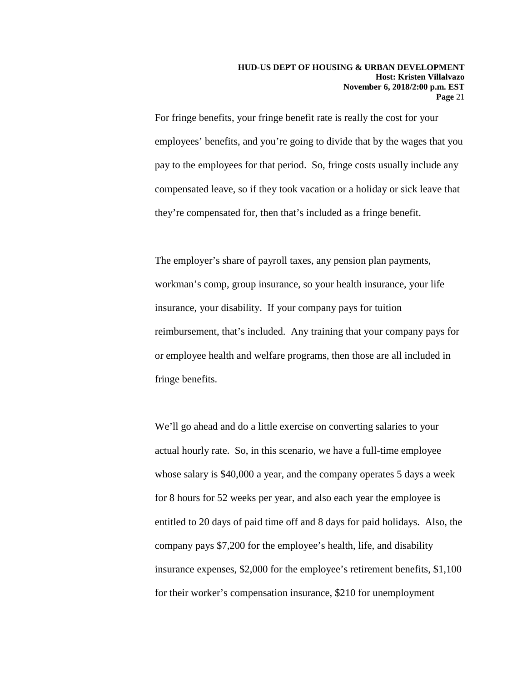For fringe benefits, your fringe benefit rate is really the cost for your employees' benefits, and you're going to divide that by the wages that you pay to the employees for that period. So, fringe costs usually include any compensated leave, so if they took vacation or a holiday or sick leave that they're compensated for, then that's included as a fringe benefit.

The employer's share of payroll taxes, any pension plan payments, workman's comp, group insurance, so your health insurance, your life insurance, your disability. If your company pays for tuition reimbursement, that's included. Any training that your company pays for or employee health and welfare programs, then those are all included in fringe benefits.

We'll go ahead and do a little exercise on converting salaries to your actual hourly rate. So, in this scenario, we have a full-time employee whose salary is \$40,000 a year, and the company operates 5 days a week for 8 hours for 52 weeks per year, and also each year the employee is entitled to 20 days of paid time off and 8 days for paid holidays. Also, the company pays \$7,200 for the employee's health, life, and disability insurance expenses, \$2,000 for the employee's retirement benefits, \$1,100 for their worker's compensation insurance, \$210 for unemployment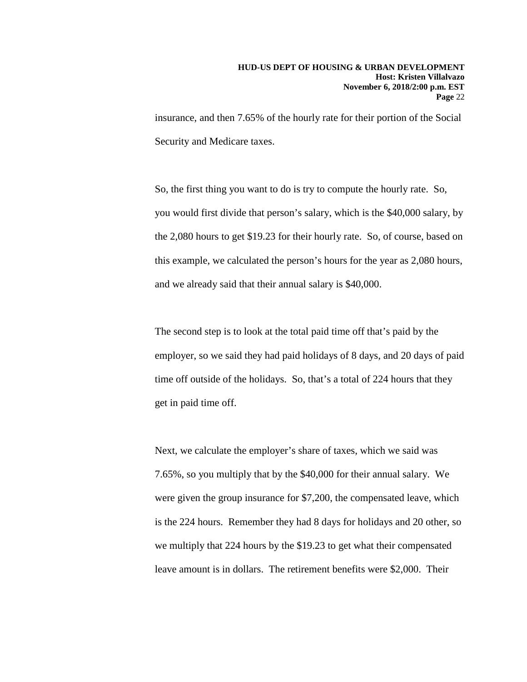insurance, and then 7.65% of the hourly rate for their portion of the Social Security and Medicare taxes.

So, the first thing you want to do is try to compute the hourly rate. So, you would first divide that person's salary, which is the \$40,000 salary, by the 2,080 hours to get \$19.23 for their hourly rate. So, of course, based on this example, we calculated the person's hours for the year as 2,080 hours, and we already said that their annual salary is \$40,000.

The second step is to look at the total paid time off that's paid by the employer, so we said they had paid holidays of 8 days, and 20 days of paid time off outside of the holidays. So, that's a total of 224 hours that they get in paid time off.

Next, we calculate the employer's share of taxes, which we said was 7.65%, so you multiply that by the \$40,000 for their annual salary. We were given the group insurance for \$7,200, the compensated leave, which is the 224 hours. Remember they had 8 days for holidays and 20 other, so we multiply that 224 hours by the \$19.23 to get what their compensated leave amount is in dollars. The retirement benefits were \$2,000. Their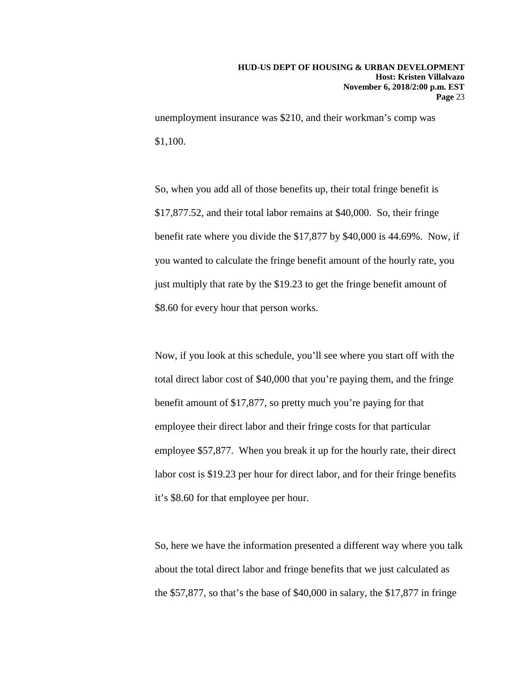unemployment insurance was \$210, and their workman's comp was \$1,100.

So, when you add all of those benefits up, their total fringe benefit is \$17,877.52, and their total labor remains at \$40,000. So, their fringe benefit rate where you divide the \$17,877 by \$40,000 is 44.69%. Now, if you wanted to calculate the fringe benefit amount of the hourly rate, you just multiply that rate by the \$19.23 to get the fringe benefit amount of \$8.60 for every hour that person works.

Now, if you look at this schedule, you'll see where you start off with the total direct labor cost of \$40,000 that you're paying them, and the fringe benefit amount of \$17,877, so pretty much you're paying for that employee their direct labor and their fringe costs for that particular employee \$57,877. When you break it up for the hourly rate, their direct labor cost is \$19.23 per hour for direct labor, and for their fringe benefits it's \$8.60 for that employee per hour.

So, here we have the information presented a different way where you talk about the total direct labor and fringe benefits that we just calculated as the \$57,877, so that's the base of \$40,000 in salary, the \$17,877 in fringe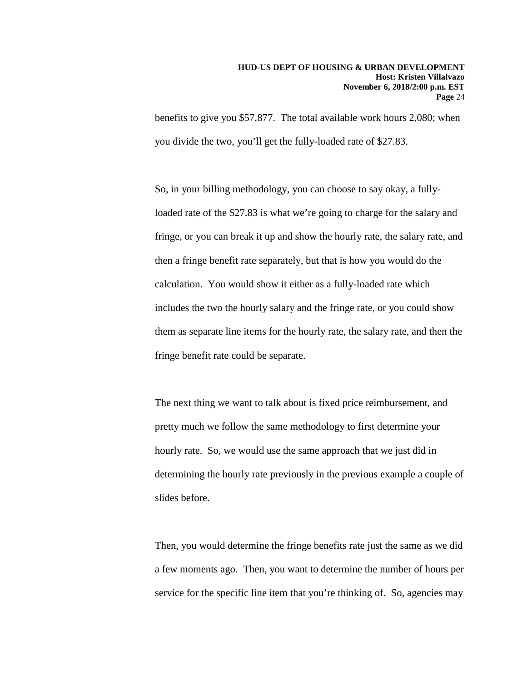benefits to give you \$57,877. The total available work hours 2,080; when you divide the two, you'll get the fully-loaded rate of \$27.83.

So, in your billing methodology, you can choose to say okay, a fullyloaded rate of the \$27.83 is what we're going to charge for the salary and fringe, or you can break it up and show the hourly rate, the salary rate, and then a fringe benefit rate separately, but that is how you would do the calculation. You would show it either as a fully-loaded rate which includes the two the hourly salary and the fringe rate, or you could show them as separate line items for the hourly rate, the salary rate, and then the fringe benefit rate could be separate.

The next thing we want to talk about is fixed price reimbursement, and pretty much we follow the same methodology to first determine your hourly rate. So, we would use the same approach that we just did in determining the hourly rate previously in the previous example a couple of slides before.

Then, you would determine the fringe benefits rate just the same as we did a few moments ago. Then, you want to determine the number of hours per service for the specific line item that you're thinking of. So, agencies may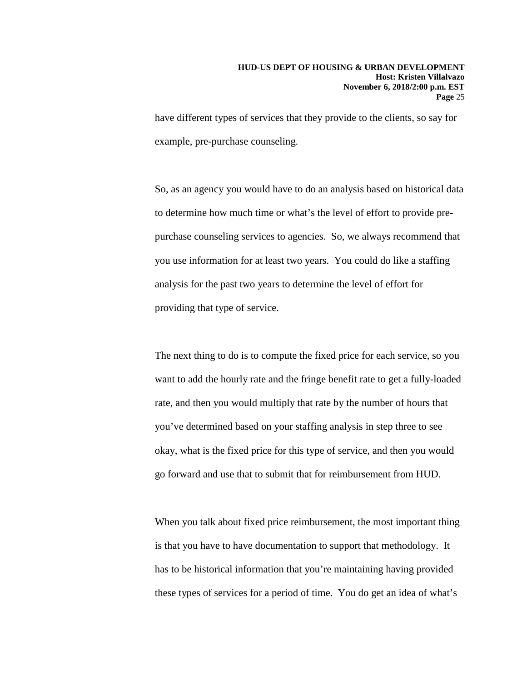have different types of services that they provide to the clients, so say for example, pre-purchase counseling.

So, as an agency you would have to do an analysis based on historical data to determine how much time or what's the level of effort to provide prepurchase counseling services to agencies. So, we always recommend that you use information for at least two years. You could do like a staffing analysis for the past two years to determine the level of effort for providing that type of service.

The next thing to do is to compute the fixed price for each service, so you want to add the hourly rate and the fringe benefit rate to get a fully-loaded rate, and then you would multiply that rate by the number of hours that you've determined based on your staffing analysis in step three to see okay, what is the fixed price for this type of service, and then you would go forward and use that to submit that for reimbursement from HUD.

When you talk about fixed price reimbursement, the most important thing is that you have to have documentation to support that methodology. It has to be historical information that you're maintaining having provided these types of services for a period of time. You do get an idea of what's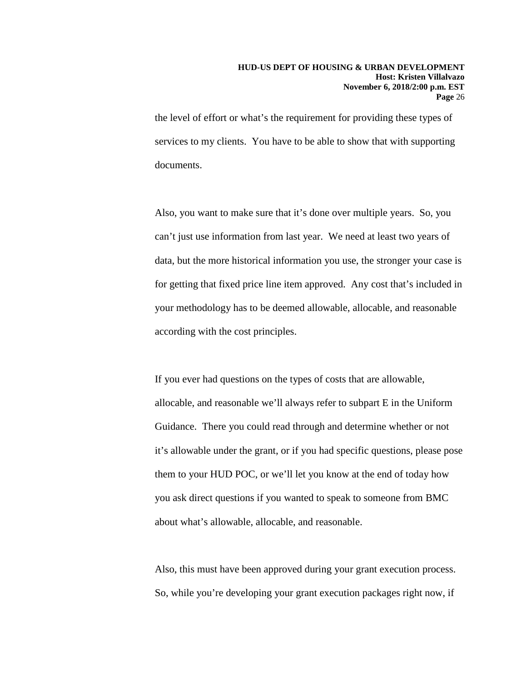the level of effort or what's the requirement for providing these types of services to my clients. You have to be able to show that with supporting documents.

Also, you want to make sure that it's done over multiple years. So, you can't just use information from last year. We need at least two years of data, but the more historical information you use, the stronger your case is for getting that fixed price line item approved. Any cost that's included in your methodology has to be deemed allowable, allocable, and reasonable according with the cost principles.

If you ever had questions on the types of costs that are allowable, allocable, and reasonable we'll always refer to subpart E in the Uniform Guidance. There you could read through and determine whether or not it's allowable under the grant, or if you had specific questions, please pose them to your HUD POC, or we'll let you know at the end of today how you ask direct questions if you wanted to speak to someone from BMC about what's allowable, allocable, and reasonable.

Also, this must have been approved during your grant execution process. So, while you're developing your grant execution packages right now, if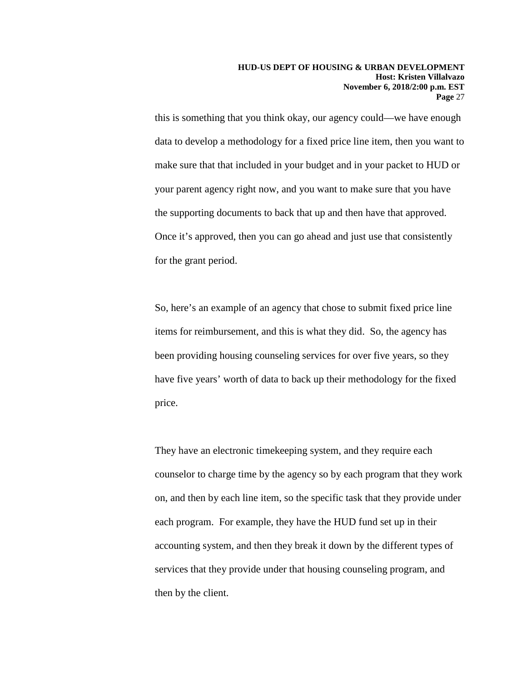this is something that you think okay, our agency could—we have enough data to develop a methodology for a fixed price line item, then you want to make sure that that included in your budget and in your packet to HUD or your parent agency right now, and you want to make sure that you have the supporting documents to back that up and then have that approved. Once it's approved, then you can go ahead and just use that consistently for the grant period.

So, here's an example of an agency that chose to submit fixed price line items for reimbursement, and this is what they did. So, the agency has been providing housing counseling services for over five years, so they have five years' worth of data to back up their methodology for the fixed price.

They have an electronic timekeeping system, and they require each counselor to charge time by the agency so by each program that they work on, and then by each line item, so the specific task that they provide under each program. For example, they have the HUD fund set up in their accounting system, and then they break it down by the different types of services that they provide under that housing counseling program, and then by the client.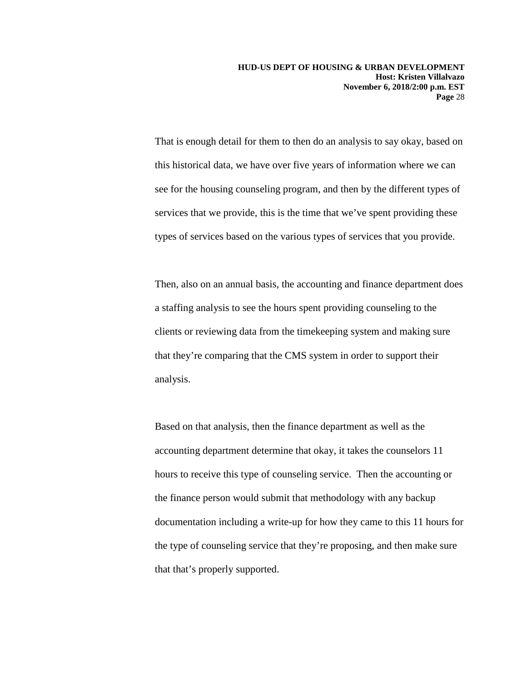That is enough detail for them to then do an analysis to say okay, based on this historical data, we have over five years of information where we can see for the housing counseling program, and then by the different types of services that we provide, this is the time that we've spent providing these types of services based on the various types of services that you provide.

Then, also on an annual basis, the accounting and finance department does a staffing analysis to see the hours spent providing counseling to the clients or reviewing data from the timekeeping system and making sure that they're comparing that the CMS system in order to support their analysis.

Based on that analysis, then the finance department as well as the accounting department determine that okay, it takes the counselors 11 hours to receive this type of counseling service. Then the accounting or the finance person would submit that methodology with any backup documentation including a write-up for how they came to this 11 hours for the type of counseling service that they're proposing, and then make sure that that's properly supported.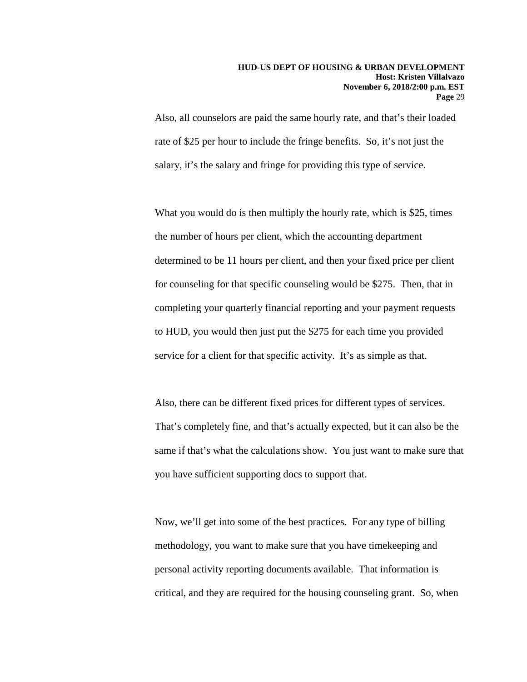Also, all counselors are paid the same hourly rate, and that's their loaded rate of \$25 per hour to include the fringe benefits. So, it's not just the salary, it's the salary and fringe for providing this type of service.

What you would do is then multiply the hourly rate, which is \$25, times the number of hours per client, which the accounting department determined to be 11 hours per client, and then your fixed price per client for counseling for that specific counseling would be \$275. Then, that in completing your quarterly financial reporting and your payment requests to HUD, you would then just put the \$275 for each time you provided service for a client for that specific activity. It's as simple as that.

Also, there can be different fixed prices for different types of services. That's completely fine, and that's actually expected, but it can also be the same if that's what the calculations show. You just want to make sure that you have sufficient supporting docs to support that.

Now, we'll get into some of the best practices. For any type of billing methodology, you want to make sure that you have timekeeping and personal activity reporting documents available. That information is critical, and they are required for the housing counseling grant. So, when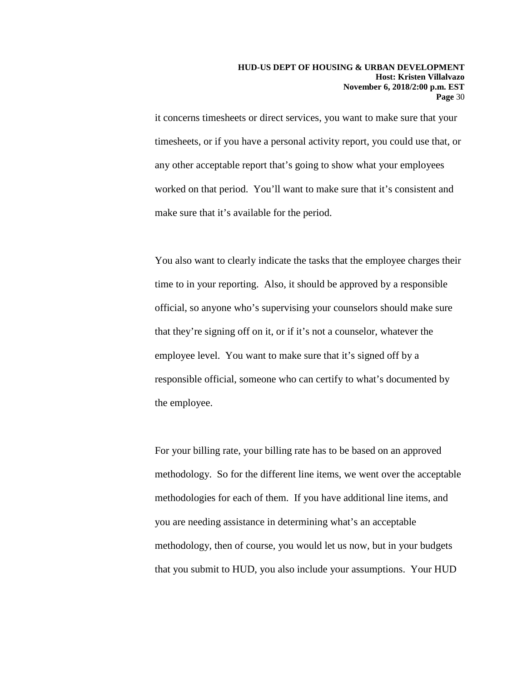it concerns timesheets or direct services, you want to make sure that your timesheets, or if you have a personal activity report, you could use that, or any other acceptable report that's going to show what your employees worked on that period. You'll want to make sure that it's consistent and make sure that it's available for the period.

You also want to clearly indicate the tasks that the employee charges their time to in your reporting. Also, it should be approved by a responsible official, so anyone who's supervising your counselors should make sure that they're signing off on it, or if it's not a counselor, whatever the employee level. You want to make sure that it's signed off by a responsible official, someone who can certify to what's documented by the employee.

For your billing rate, your billing rate has to be based on an approved methodology. So for the different line items, we went over the acceptable methodologies for each of them. If you have additional line items, and you are needing assistance in determining what's an acceptable methodology, then of course, you would let us now, but in your budgets that you submit to HUD, you also include your assumptions. Your HUD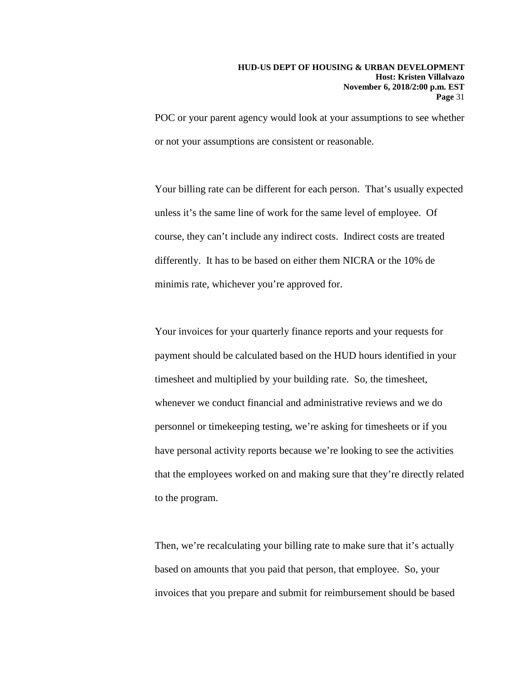POC or your parent agency would look at your assumptions to see whether or not your assumptions are consistent or reasonable.

Your billing rate can be different for each person. That's usually expected unless it's the same line of work for the same level of employee. Of course, they can't include any indirect costs. Indirect costs are treated differently. It has to be based on either them NICRA or the 10% de minimis rate, whichever you're approved for.

Your invoices for your quarterly finance reports and your requests for payment should be calculated based on the HUD hours identified in your timesheet and multiplied by your building rate. So, the timesheet, whenever we conduct financial and administrative reviews and we do personnel or timekeeping testing, we're asking for timesheets or if you have personal activity reports because we're looking to see the activities that the employees worked on and making sure that they're directly related to the program.

Then, we're recalculating your billing rate to make sure that it's actually based on amounts that you paid that person, that employee. So, your invoices that you prepare and submit for reimbursement should be based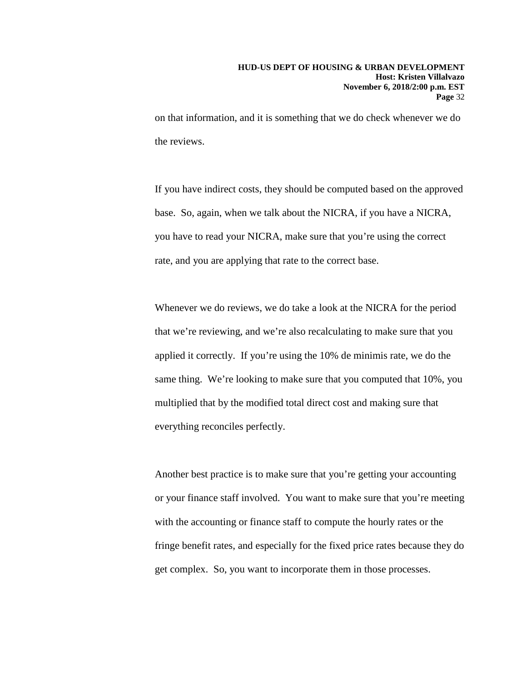on that information, and it is something that we do check whenever we do the reviews.

If you have indirect costs, they should be computed based on the approved base. So, again, when we talk about the NICRA, if you have a NICRA, you have to read your NICRA, make sure that you're using the correct rate, and you are applying that rate to the correct base.

Whenever we do reviews, we do take a look at the NICRA for the period that we're reviewing, and we're also recalculating to make sure that you applied it correctly. If you're using the 10% de minimis rate, we do the same thing. We're looking to make sure that you computed that 10%, you multiplied that by the modified total direct cost and making sure that everything reconciles perfectly.

Another best practice is to make sure that you're getting your accounting or your finance staff involved. You want to make sure that you're meeting with the accounting or finance staff to compute the hourly rates or the fringe benefit rates, and especially for the fixed price rates because they do get complex. So, you want to incorporate them in those processes.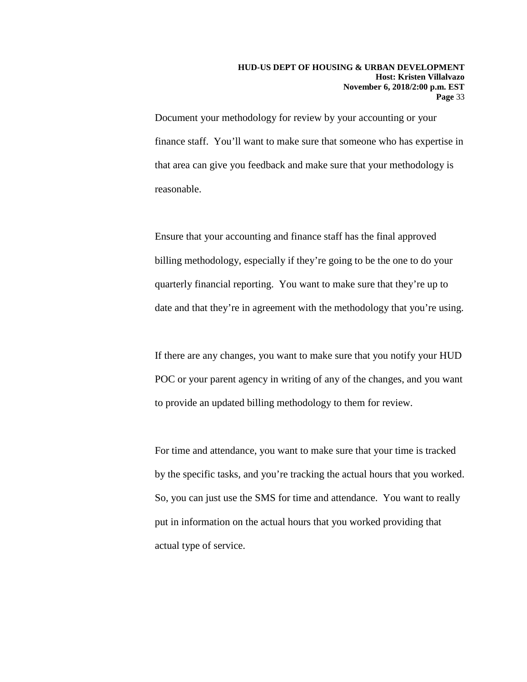Document your methodology for review by your accounting or your finance staff. You'll want to make sure that someone who has expertise in that area can give you feedback and make sure that your methodology is reasonable.

Ensure that your accounting and finance staff has the final approved billing methodology, especially if they're going to be the one to do your quarterly financial reporting. You want to make sure that they're up to date and that they're in agreement with the methodology that you're using.

If there are any changes, you want to make sure that you notify your HUD POC or your parent agency in writing of any of the changes, and you want to provide an updated billing methodology to them for review.

For time and attendance, you want to make sure that your time is tracked by the specific tasks, and you're tracking the actual hours that you worked. So, you can just use the SMS for time and attendance. You want to really put in information on the actual hours that you worked providing that actual type of service.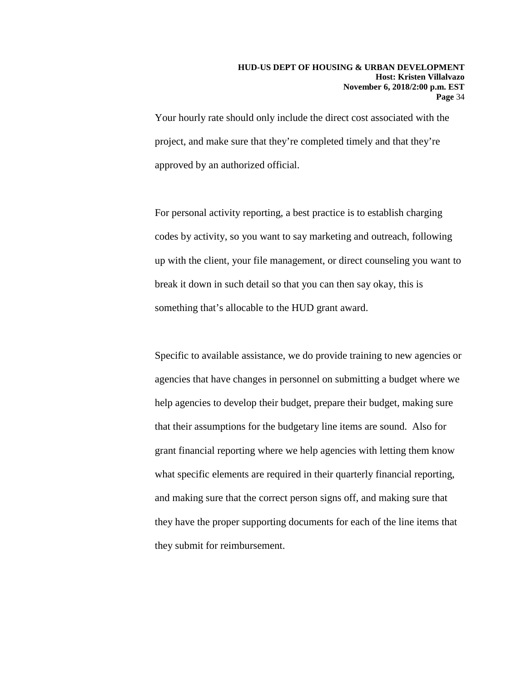Your hourly rate should only include the direct cost associated with the project, and make sure that they're completed timely and that they're approved by an authorized official.

For personal activity reporting, a best practice is to establish charging codes by activity, so you want to say marketing and outreach, following up with the client, your file management, or direct counseling you want to break it down in such detail so that you can then say okay, this is something that's allocable to the HUD grant award.

Specific to available assistance, we do provide training to new agencies or agencies that have changes in personnel on submitting a budget where we help agencies to develop their budget, prepare their budget, making sure that their assumptions for the budgetary line items are sound. Also for grant financial reporting where we help agencies with letting them know what specific elements are required in their quarterly financial reporting, and making sure that the correct person signs off, and making sure that they have the proper supporting documents for each of the line items that they submit for reimbursement.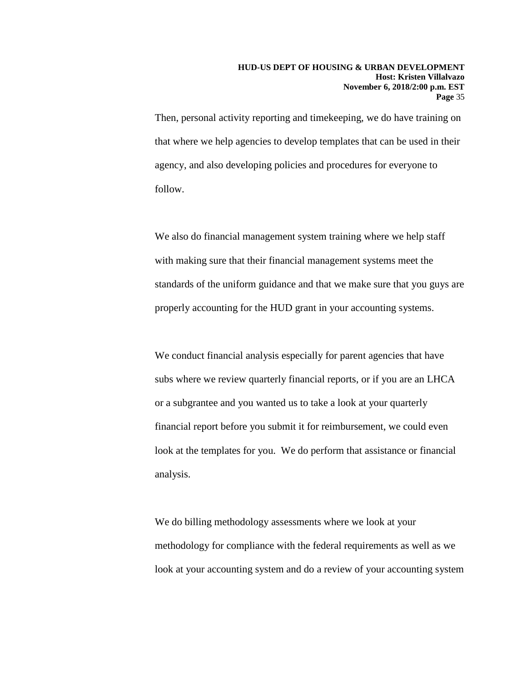Then, personal activity reporting and timekeeping, we do have training on that where we help agencies to develop templates that can be used in their agency, and also developing policies and procedures for everyone to follow.

We also do financial management system training where we help staff with making sure that their financial management systems meet the standards of the uniform guidance and that we make sure that you guys are properly accounting for the HUD grant in your accounting systems.

We conduct financial analysis especially for parent agencies that have subs where we review quarterly financial reports, or if you are an LHCA or a subgrantee and you wanted us to take a look at your quarterly financial report before you submit it for reimbursement, we could even look at the templates for you. We do perform that assistance or financial analysis.

We do billing methodology assessments where we look at your methodology for compliance with the federal requirements as well as we look at your accounting system and do a review of your accounting system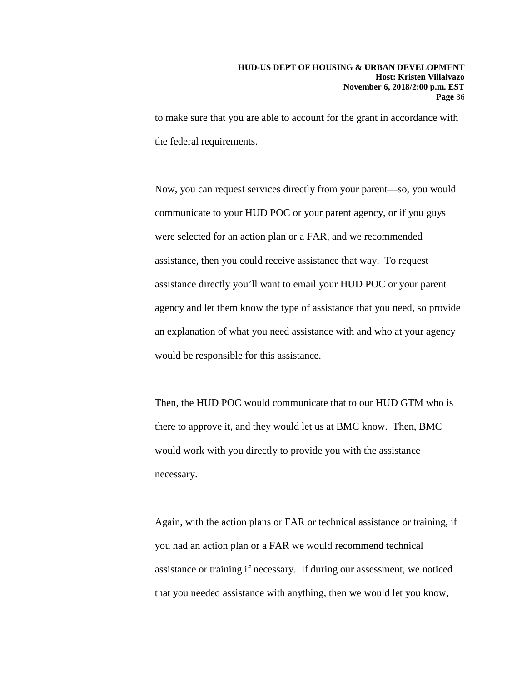to make sure that you are able to account for the grant in accordance with the federal requirements.

Now, you can request services directly from your parent—so, you would communicate to your HUD POC or your parent agency, or if you guys were selected for an action plan or a FAR, and we recommended assistance, then you could receive assistance that way. To request assistance directly you'll want to email your HUD POC or your parent agency and let them know the type of assistance that you need, so provide an explanation of what you need assistance with and who at your agency would be responsible for this assistance.

Then, the HUD POC would communicate that to our HUD GTM who is there to approve it, and they would let us at BMC know. Then, BMC would work with you directly to provide you with the assistance necessary.

Again, with the action plans or FAR or technical assistance or training, if you had an action plan or a FAR we would recommend technical assistance or training if necessary. If during our assessment, we noticed that you needed assistance with anything, then we would let you know,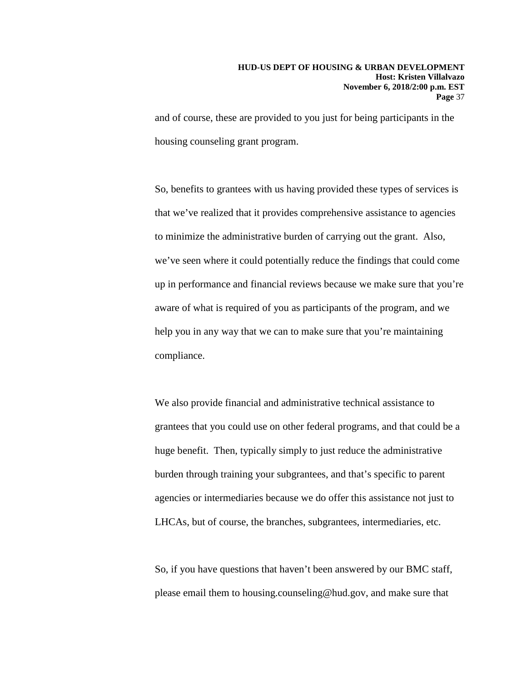and of course, these are provided to you just for being participants in the housing counseling grant program.

So, benefits to grantees with us having provided these types of services is that we've realized that it provides comprehensive assistance to agencies to minimize the administrative burden of carrying out the grant. Also, we've seen where it could potentially reduce the findings that could come up in performance and financial reviews because we make sure that you're aware of what is required of you as participants of the program, and we help you in any way that we can to make sure that you're maintaining compliance.

We also provide financial and administrative technical assistance to grantees that you could use on other federal programs, and that could be a huge benefit. Then, typically simply to just reduce the administrative burden through training your subgrantees, and that's specific to parent agencies or intermediaries because we do offer this assistance not just to LHCAs, but of course, the branches, subgrantees, intermediaries, etc.

So, if you have questions that haven't been answered by our BMC staff, please email them to housing.counseling@hud.gov, and make sure that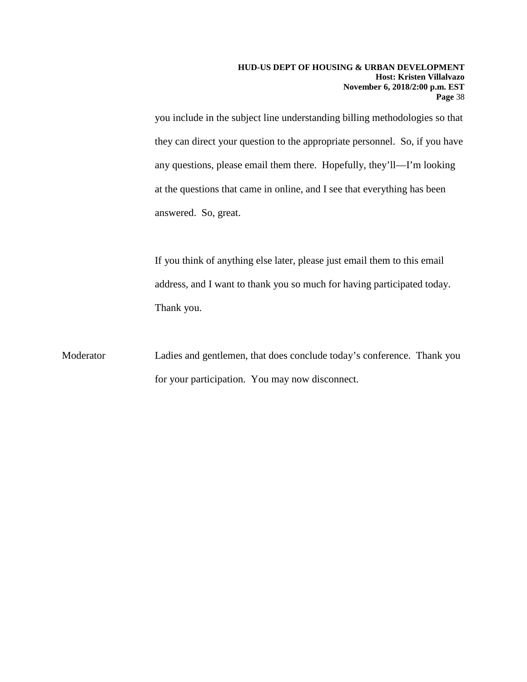you include in the subject line understanding billing methodologies so that they can direct your question to the appropriate personnel. So, if you have any questions, please email them there. Hopefully, they'll—I'm looking at the questions that came in online, and I see that everything has been answered. So, great.

If you think of anything else later, please just email them to this email address, and I want to thank you so much for having participated today. Thank you.

Moderator Ladies and gentlemen, that does conclude today's conference. Thank you for your participation. You may now disconnect.